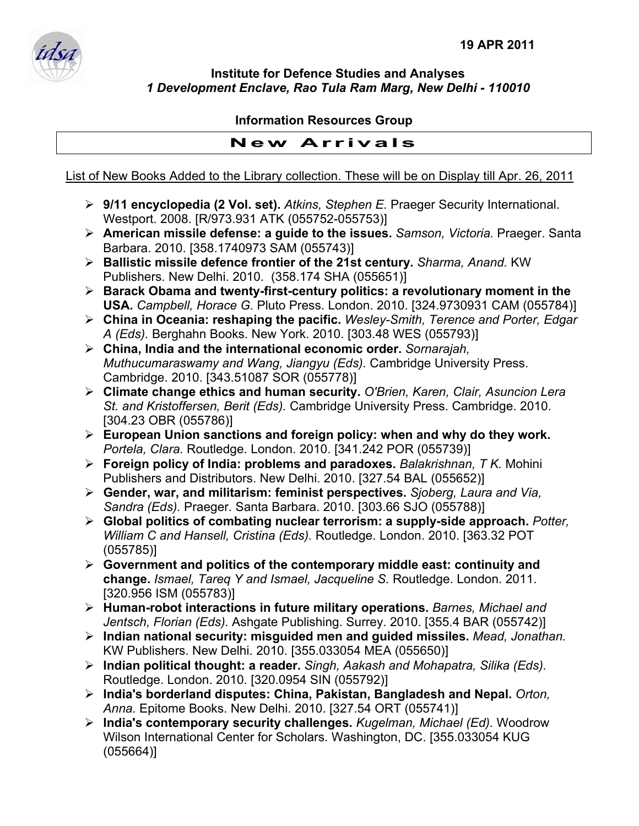

**Institute for Defence Studies and Analyses**  *1 Development Enclave, Rao Tula Ram Marg, New Delhi - 110010* 

## **Information Resources Group**

## **New Arrivals**

List of New Books Added to the Library collection. These will be on Display till Apr. 26, 2011

- ¾ **9/11 encyclopedia (2 Vol. set).** *Atkins, Stephen E.* Praeger Security International. Westport. 2008. [R/973.931 ATK (055752-055753)]
- ¾ **American missile defense: a guide to the issues.** *Samson, Victoria.* Praeger. Santa Barbara. 2010. [358.1740973 SAM (055743)]
- ¾ **Ballistic missile defence frontier of the 21st century.** *Sharma, Anand.* KW Publishers. New Delhi. 2010. (358.174 SHA (055651)]
- ¾ **Barack Obama and twenty-first-century politics: a revolutionary moment in the USA.** *Campbell, Horace G.* Pluto Press. London. 2010. [324.9730931 CAM (055784)]
- ¾ **China in Oceania: reshaping the pacific.** *Wesley-Smith, Terence and Porter, Edgar A (Eds).* Berghahn Books. New York. 2010. [303.48 WES (055793)]
- ¾ **China, India and the international economic order.** *Sornarajah, Muthucumaraswamy and Wang, Jiangyu (Eds).* Cambridge University Press. Cambridge. 2010. [343.51087 SOR (055778)]
- ¾ **Climate change ethics and human security.** *O'Brien, Karen, Clair, Asuncion Lera St. and Kristoffersen, Berit (Eds).* Cambridge University Press. Cambridge. 2010. [304.23 OBR (055786)]
- ¾ **European Union sanctions and foreign policy: when and why do they work.**  *Portela, Clara.* Routledge. London. 2010. [341.242 POR (055739)]
- ¾ **Foreign policy of India: problems and paradoxes.** *Balakrishnan, T K.* Mohini Publishers and Distributors. New Delhi. 2010. [327.54 BAL (055652)]
- ¾ **Gender, war, and militarism: feminist perspectives.** *Sjoberg, Laura and Via, Sandra (Eds).* Praeger. Santa Barbara. 2010. [303.66 SJO (055788)]
- ¾ **Global politics of combating nuclear terrorism: a supply-side approach.** *Potter, William C and Hansell, Cristina (Eds).* Routledge. London. 2010. [363.32 POT (055785)]
- ¾ **Government and politics of the contemporary middle east: continuity and change.** *Ismael, Tareq Y and Ismael, Jacqueline S.* Routledge. London. 2011. [320.956 ISM (055783)]
- ¾ **Human-robot interactions in future military operations.** *Barnes, Michael and Jentsch, Florian (Eds).* Ashgate Publishing. Surrey. 2010. [355.4 BAR (055742)]
- ¾ **Indian national security: misguided men and guided missiles.** *Mead, Jonathan.*  KW Publishers. New Delhi. 2010. [355.033054 MEA (055650)]
- ¾ **Indian political thought: a reader.** *Singh, Aakash and Mohapatra, Silika (Eds).*  Routledge. London. 2010. [320.0954 SIN (055792)]
- ¾ **India's borderland disputes: China, Pakistan, Bangladesh and Nepal.** *Orton, Anna.* Epitome Books. New Delhi. 2010. [327.54 ORT (055741)]
- ¾ **India's contemporary security challenges.** *Kugelman, Michael (Ed).* Woodrow Wilson International Center for Scholars. Washington, DC. [355.033054 KUG (055664)]